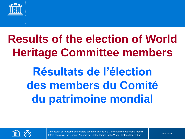

## **Results of the election of World Heritage Committee members**

**Résultats de l'élection des members du Comité du patrimoine mondial**

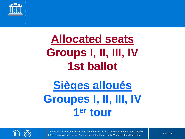

### **Allocated seats Groups I, II, III, IV 1st ballot**

## **Sièges alloués Groupes I, II, III, IV 1 er tour**

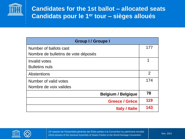

| <b>Group I/ Groupe I</b>            |                |
|-------------------------------------|----------------|
| Number of ballots cast              | 177            |
| Nombre de bulletins de vote déposés |                |
| Invalid votes                       | 1              |
| <b>Bulletins nuls</b>               |                |
| <b>Abstentions</b>                  | $\overline{2}$ |
| Number of valid votes               | 174            |
| Nombre de voix valides              |                |
| <b>Belgium / Belgique</b>           | 78             |
| <b>Greece / Grèce</b>               | 119            |
| <b>Italy / Italie</b>               | 143            |

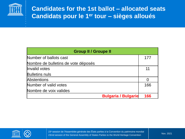

| <b>Group II / Groupe II</b>         |     |
|-------------------------------------|-----|
| Number of ballots cast              | 177 |
| Nombre de bulletins de vote déposés |     |
| Invalid votes                       | 11  |
| <b>Bulletins nuls</b>               |     |
| <b>Abstentions</b>                  |     |
| Number of valid votes               | 166 |
| Nombre de voix valides              |     |
| <b>Bulgaria / Bulgarie</b>          | 166 |

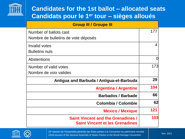

| <b>Group III / Groupe III</b>                                                       |     |
|-------------------------------------------------------------------------------------|-----|
| Number of ballots cast                                                              | 177 |
| Nombre de bulletins de vote déposés                                                 |     |
| Invalid votes                                                                       | 4   |
| <b>Bulletins nuls</b>                                                               |     |
| <b>Abstentions</b>                                                                  | O   |
| Number of valid votes                                                               | 173 |
| Nombre de voix valides                                                              |     |
| Antigua and Barbuda / Antigua-et-Barbuda                                            | 29  |
| <b>Argentina / Argentine</b>                                                        | 104 |
| <b>Barbados / Barbade</b>                                                           | 66  |
| <b>Colombia / Colombie</b>                                                          | 62  |
| <b>Mexico / Mexique</b>                                                             | 121 |
| <b>Saint Vincent and the Grenadines /</b><br><b>Saint Vincent et les Grenadines</b> | 103 |

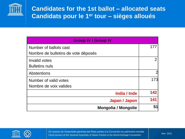

| <b>Group IV / Group IV</b>          |                |
|-------------------------------------|----------------|
| Number of ballots cast              | 177            |
| Nombre de bulletins de vote déposés |                |
| Invalid votes                       | $\overline{2}$ |
| <b>Bulletins nuls</b>               |                |
| <b>Abstentions</b>                  |                |
| Number of valid votes               | 173            |
| Nombre de voix valides              |                |
| India / Inde                        | 142            |
| Japan / Japon                       | 141            |
| <b>Mongolia / Mongolie</b>          | 51             |

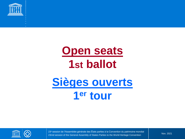

# **Open seats 1st ballot Sièges ouverts 1 er tour**